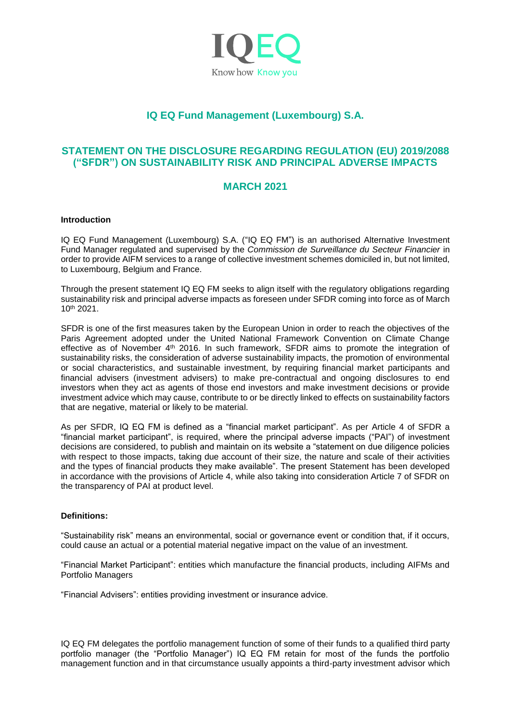

# **IQ EQ Fund Management (Luxembourg) S.A.**

## **STATEMENT ON THE DISCLOSURE REGARDING REGULATION (EU) 2019/2088 ("SFDR") ON SUSTAINABILITY RISK AND PRINCIPAL ADVERSE IMPACTS**

## **MARCH 2021**

## **Introduction**

IQ EQ Fund Management (Luxembourg) S.A. ("IQ EQ FM") is an authorised Alternative Investment Fund Manager regulated and supervised by the *Commission de Surveillance du Secteur Financier* in order to provide AIFM services to a range of collective investment schemes domiciled in, but not limited, to Luxembourg, Belgium and France.

Through the present statement IQ EQ FM seeks to align itself with the regulatory obligations regarding sustainability risk and principal adverse impacts as foreseen under SFDR coming into force as of March 10th 2021.

SFDR is one of the first measures taken by the European Union in order to reach the objectives of the Paris Agreement adopted under the United National Framework Convention on Climate Change effective as of November  $4<sup>th</sup>$  2016. In such framework, SFDR aims to promote the integration of sustainability risks, the consideration of adverse sustainability impacts, the promotion of environmental or social characteristics, and sustainable investment, by requiring financial market participants and financial advisers (investment advisers) to make pre-contractual and ongoing disclosures to end investors when they act as agents of those end investors and make investment decisions or provide investment advice which may cause, contribute to or be directly linked to effects on sustainability factors that are negative, material or likely to be material.

As per SFDR, IQ EQ FM is defined as a "financial market participant". As per Article 4 of SFDR a "financial market participant", is required, where the principal adverse impacts ("PAI") of investment decisions are considered, to publish and maintain on its website a "statement on due diligence policies with respect to those impacts, taking due account of their size, the nature and scale of their activities and the types of financial products they make available". The present Statement has been developed in accordance with the provisions of Article 4, while also taking into consideration Article 7 of SFDR on the transparency of PAI at product level.

## **Definitions:**

"Sustainability risk" means an environmental, social or governance event or condition that, if it occurs, could cause an actual or a potential material negative impact on the value of an investment.

"Financial Market Participant": entities which manufacture the financial products, including AIFMs and Portfolio Managers

"Financial Advisers": entities providing investment or insurance advice.

IQ EQ FM delegates the portfolio management function of some of their funds to a qualified third party portfolio manager (the "Portfolio Manager") IQ EQ FM retain for most of the funds the portfolio management function and in that circumstance usually appoints a third-party investment advisor which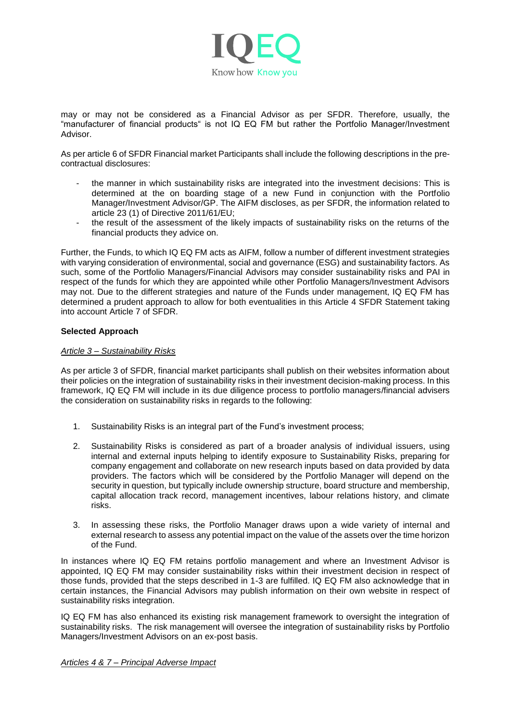

may or may not be considered as a Financial Advisor as per SFDR. Therefore, usually, the "manufacturer of financial products" is not IQ EQ FM but rather the Portfolio Manager/Investment Advisor.

As per article 6 of SFDR Financial market Participants shall include the following descriptions in the precontractual disclosures:

- the manner in which sustainability risks are integrated into the investment decisions: This is determined at the on boarding stage of a new Fund in conjunction with the Portfolio Manager/Investment Advisor/GP. The AIFM discloses, as per SFDR, the information related to article 23 (1) of Directive 2011/61/EU;
- the result of the assessment of the likely impacts of sustainability risks on the returns of the financial products they advice on.

Further, the Funds, to which IQ EQ FM acts as AIFM, follow a number of different investment strategies with varying consideration of environmental, social and governance (ESG) and sustainability factors. As such, some of the Portfolio Managers/Financial Advisors may consider sustainability risks and PAI in respect of the funds for which they are appointed while other Portfolio Managers/Investment Advisors may not. Due to the different strategies and nature of the Funds under management, IQ EQ FM has determined a prudent approach to allow for both eventualities in this Article 4 SFDR Statement taking into account Article 7 of SFDR.

## **Selected Approach**

## *Article 3 – Sustainability Risks*

As per article 3 of SFDR, financial market participants shall publish on their websites information about their policies on the integration of sustainability risks in their investment decision-making process. In this framework, IQ EQ FM will include in its due diligence process to portfolio managers/financial advisers the consideration on sustainability risks in regards to the following:

- 1. Sustainability Risks is an integral part of the Fund's investment process;
- 2. Sustainability Risks is considered as part of a broader analysis of individual issuers, using internal and external inputs helping to identify exposure to Sustainability Risks, preparing for company engagement and collaborate on new research inputs based on data provided by data providers. The factors which will be considered by the Portfolio Manager will depend on the security in question, but typically include ownership structure, board structure and membership, capital allocation track record, management incentives, labour relations history, and climate risks.
- 3. In assessing these risks, the Portfolio Manager draws upon a wide variety of internal and external research to assess any potential impact on the value of the assets over the time horizon of the Fund.

In instances where IQ EQ FM retains portfolio management and where an Investment Advisor is appointed, IQ EQ FM may consider sustainability risks within their investment decision in respect of those funds, provided that the steps described in 1-3 are fulfilled. IQ EQ FM also acknowledge that in certain instances, the Financial Advisors may publish information on their own website in respect of sustainability risks integration.

IQ EQ FM has also enhanced its existing risk management framework to oversight the integration of sustainability risks. The risk management will oversee the integration of sustainability risks by Portfolio Managers/Investment Advisors on an ex-post basis.

*Articles 4 & 7 – Principal Adverse Impact*